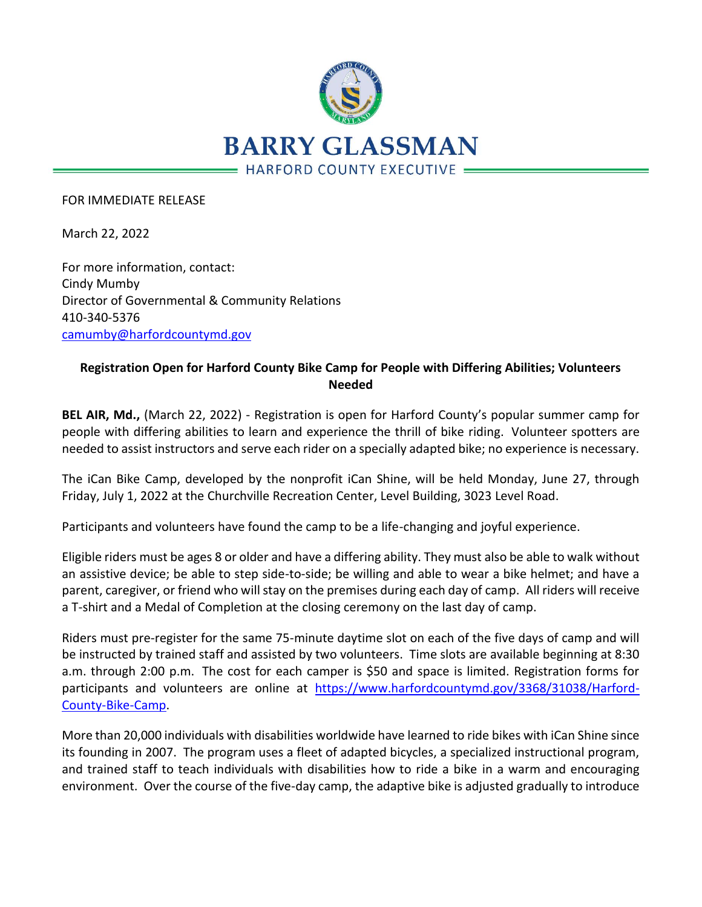

FOR IMMEDIATE RELEASE

March 22, 2022

For more information, contact: Cindy Mumby Director of Governmental & Community Relations 410-340-5376 [camumby@harfordcountymd.gov](mailto:camumby@harfordcountymd.gov)

## **Registration Open for Harford County Bike Camp for People with Differing Abilities; Volunteers Needed**

**BEL AIR, Md.,** (March 22, 2022) - Registration is open for Harford County's popular summer camp for people with differing abilities to learn and experience the thrill of bike riding. Volunteer spotters are needed to assist instructors and serve each rider on a specially adapted bike; no experience is necessary.

The iCan Bike Camp, developed by the nonprofit iCan Shine, will be held Monday, June 27, through Friday, July 1, 2022 at the Churchville Recreation Center, Level Building, 3023 Level Road.

Participants and volunteers have found the camp to be a life-changing and joyful experience.

Eligible riders must be ages 8 or older and have a differing ability. They must also be able to walk without an assistive device; be able to step side-to-side; be willing and able to wear a bike helmet; and have a parent, caregiver, or friend who will stay on the premises during each day of camp. All riders will receive a T-shirt and a Medal of Completion at the closing ceremony on the last day of camp.

Riders must pre-register for the same 75-minute daytime slot on each of the five days of camp and will be instructed by trained staff and assisted by two volunteers. Time slots are available beginning at 8:30 a.m. through 2:00 p.m. The cost for each camper is \$50 and space is limited. Registration forms for participants and volunteers are online at [https://www.harfordcountymd.gov/3368/31038/Harford-](https://nam12.safelinks.protection.outlook.com/?url=https%3A%2F%2Fwww.harfordcountymd.gov%2F3368%2F31038%2FHarford-County-Bike-Camp&data=04%7C01%7Ckblowery%40harfordcountymd.gov%7C28d18b0f7e4d4905148a08da0c15011f%7C4235188d82284164a04d76ccc8339f8f%7C0%7C0%7C637835581657620091%7CUnknown%7CTWFpbGZsb3d8eyJWIjoiMC4wLjAwMDAiLCJQIjoiV2luMzIiLCJBTiI6Ik1haWwiLCJXVCI6Mn0%3D%7C3000&sdata=WiFvGd65eWr%2Fqh6oD04MCc81TK5SwUc4eUyNisUmI7w%3D&reserved=0)[County-Bike-Camp.](https://nam12.safelinks.protection.outlook.com/?url=https%3A%2F%2Fwww.harfordcountymd.gov%2F3368%2F31038%2FHarford-County-Bike-Camp&data=04%7C01%7Ckblowery%40harfordcountymd.gov%7C28d18b0f7e4d4905148a08da0c15011f%7C4235188d82284164a04d76ccc8339f8f%7C0%7C0%7C637835581657620091%7CUnknown%7CTWFpbGZsb3d8eyJWIjoiMC4wLjAwMDAiLCJQIjoiV2luMzIiLCJBTiI6Ik1haWwiLCJXVCI6Mn0%3D%7C3000&sdata=WiFvGd65eWr%2Fqh6oD04MCc81TK5SwUc4eUyNisUmI7w%3D&reserved=0)

More than 20,000 individuals with disabilities worldwide have learned to ride bikes with iCan Shine since its founding in 2007. The program uses a fleet of adapted bicycles, a specialized instructional program, and trained staff to teach individuals with disabilities how to ride a bike in a warm and encouraging environment. Over the course of the five-day camp, the adaptive bike is adjusted gradually to introduce